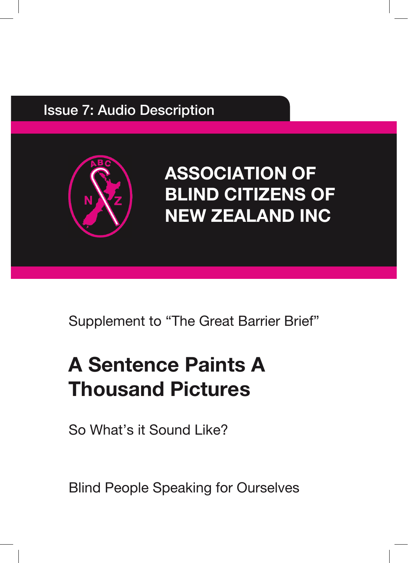#### Issue 7: Audio Description



# **ASSOCIATION OF BLIND CITIZENS OF NEW ZEALAND INC**

Supplement to "The Great Barrier Brief"

# **A Sentence Paints A Thousand Pictures**

So What's it Sound Like?

Blind People Speaking for Ourselves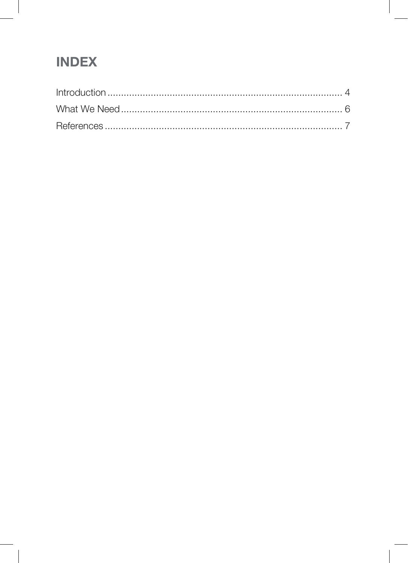### **INDEX**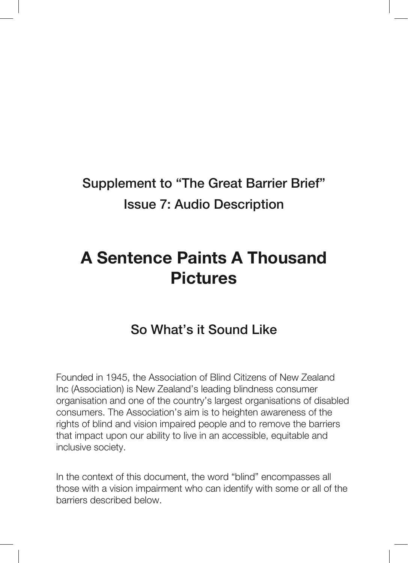## Supplement to "The Great Barrier Brief" Issue 7: Audio Description

# **A Sentence Paints A Thousand Pictures**

#### So What's it Sound Like

Founded in 1945, the Association of Blind Citizens of New Zealand Inc (Association) is New Zealand's leading blindness consumer organisation and one of the country's largest organisations of disabled consumers. The Association's aim is to heighten awareness of the rights of blind and vision impaired people and to remove the barriers that impact upon our ability to live in an accessible, equitable and inclusive society.

In the context of this document, the word "blind" encompasses all those with a vision impairment who can identify with some or all of the barriers described below.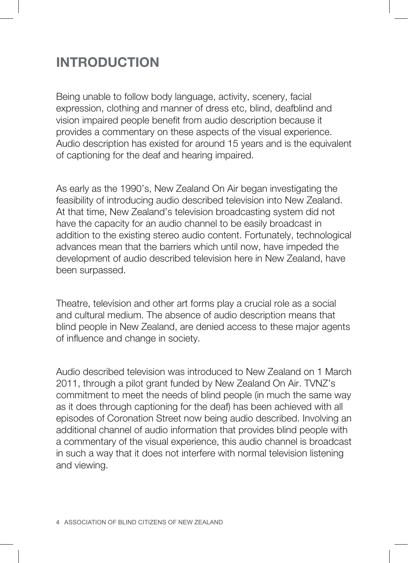#### **INTRODUCTION**

Being unable to follow body language, activity, scenery, facial expression, clothing and manner of dress etc, blind, deafblind and vision impaired people benefit from audio description because it provides a commentary on these aspects of the visual experience. Audio description has existed for around 15 years and is the equivalent of captioning for the deaf and hearing impaired.

As early as the 1990's, New Zealand On Air began investigating the feasibility of introducing audio described television into New Zealand. At that time, New Zealand's television broadcasting system did not have the capacity for an audio channel to be easily broadcast in addition to the existing stereo audio content. Fortunately, technological advances mean that the barriers which until now, have impeded the development of audio described television here in New Zealand, have been surpassed.

Theatre, television and other art forms play a crucial role as a social and cultural medium. The absence of audio description means that blind people in New Zealand, are denied access to these major agents of influence and change in society.

Audio described television was introduced to New Zealand on 1 March 2011, through a pilot grant funded by New Zealand On Air. TVNZ's commitment to meet the needs of blind people (in much the same way as it does through captioning for the deaf) has been achieved with all episodes of Coronation Street now being audio described. Involving an additional channel of audio information that provides blind people with a commentary of the visual experience, this audio channel is broadcast in such a way that it does not interfere with normal television listening and viewing.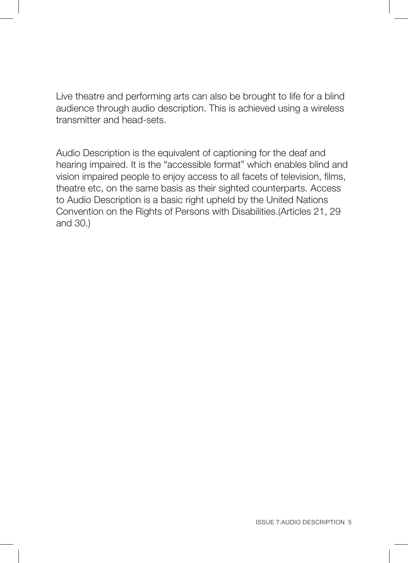Live theatre and performing arts can also be brought to life for a blind audience through audio description. This is achieved using a wireless transmitter and head-sets.

Audio Description is the equivalent of captioning for the deaf and hearing impaired. It is the "accessible format" which enables blind and vision impaired people to enjoy access to all facets of television, films, theatre etc, on the same basis as their sighted counterparts. Access to Audio Description is a basic right upheld by the United Nations Convention on the Rights of Persons with Disabilities.(Articles 21, 29 and 30.)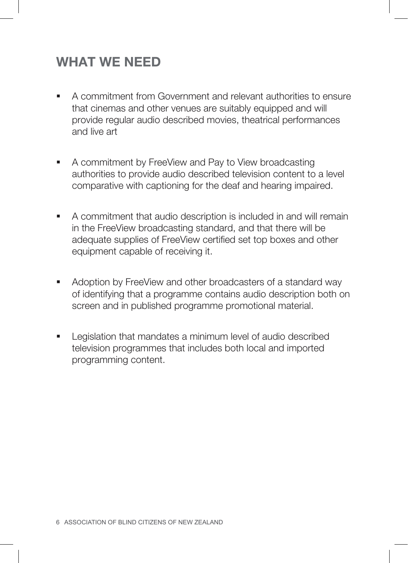#### **WHAT WE NEED**

- A commitment from Government and relevant authorities to ensure that cinemas and other venues are suitably equipped and will provide regular audio described movies, theatrical performances and live art
- A commitment by FreeView and Pay to View broadcasting authorities to provide audio described television content to a level comparative with captioning for the deaf and hearing impaired.
- A commitment that audio description is included in and will remain in the FreeView broadcasting standard, and that there will be adequate supplies of FreeView certified set top boxes and other equipment capable of receiving it.
- Adoption by FreeView and other broadcasters of a standard way of identifying that a programme contains audio description both on screen and in published programme promotional material.
- **EXEC** Legislation that mandates a minimum level of audio described television programmes that includes both local and imported programming content.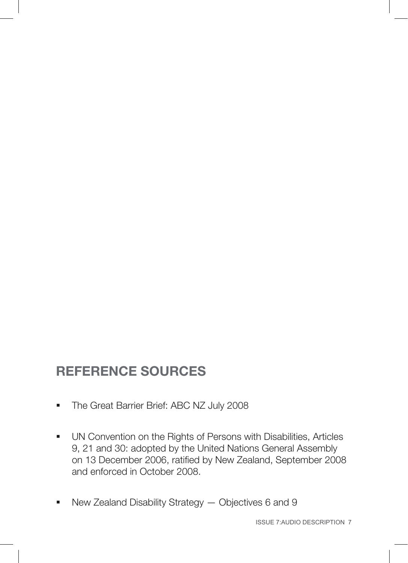### **REFERENCE SOURCES**

- **The Great Barrier Brief: ABC NZ July 2008**
- **UN Convention on the Rights of Persons with Disabilities, Articles** 9, 21 and 30: adopted by the United Nations General Assembly on 13 December 2006, ratified by New Zealand, September 2008 and enforced in October 2008.
- New Zealand Disability Strategy Objectives 6 and 9